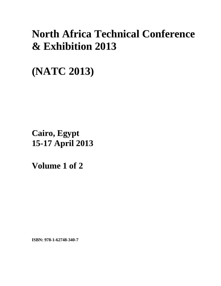# **North Africa Technical Conference & Exhibition 2013**

**(NATC 2013)** 

**Cairo, Egypt 15-17 April 2013**

**Volume 1 of 2** 

**ISBN: 978-1-62748-340-7**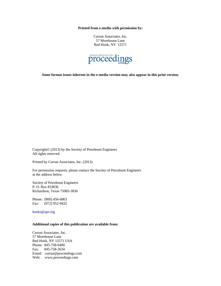**Printed from e-media with permission by:** 

Curran Associates, Inc. 57 Morehouse Lane Red Hook, NY 12571



**Some format issues inherent in the e-media version may also appear in this print version.** 

Copyright© (2013) by the Society of Petroleum Engineers All rights reserved.

Printed by Curran Associates, Inc. (2013)

For permission requests, please contact the Society of Petroleum Engineers at the address below.

Society of Petroleum Engineers P. O. Box 833836 Richardson, Texas 75083-3836

Phone: (800) 456-6863 Fax: (972) 952-9435

books@spe.org

## **Additional copies of this publication are available from:**

Curran Associates, Inc. 57 Morehouse Lane Red Hook, NY 12571 USA Phone: 845-758-0400 Fax: 845-758-2634 Email: curran@proceedings.com Web: www.proceedings.com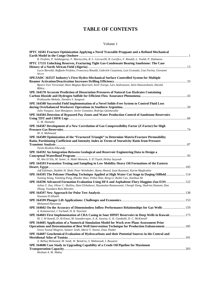# **TABLE OF CONTENTS**

#### Volume 1

| IPTC 16581 Fracture Optimization Applying a Novel Traceable Proppant and a Refined Mechanical                                                                       |  |
|---------------------------------------------------------------------------------------------------------------------------------------------------------------------|--|
|                                                                                                                                                                     |  |
| R. Perfetto, P. Saldungaray, F. Martocchia, R. L. Ceccarelli, R. Lorefice, F. Rinaldi, L. Tealdi, P. Dalmasso                                                       |  |
| IPTC 17131 Unlocking Reserves, Fracturing Tight Gas-Condensate Bearing Sandstone: The Case                                                                          |  |
| Lucio Bertoldi, Raffaele Perfetto, Francesca Rinaldi, Gabriele Carpineta, Luis Granado, Lisa Farina, Giovanni                                                       |  |
| Secco                                                                                                                                                               |  |
| SPE/IADC 163537 Industry's First Hydro-Mechanical Surface Controlled System for Multiple                                                                            |  |
|                                                                                                                                                                     |  |
| Bjoern Tore Torvestad, Hans Magnus Bjoerneli, Ketil Toerge, Lars Andreassen, Stein Haavardstein, Harald<br>Blikra                                                   |  |
| SPE 164578 Accurate Prediction of Dissociation Pressures of Natural Gas Hydrates Containing                                                                         |  |
| Prathyusha Mekala, Jitendra S. Sangwai                                                                                                                              |  |
| SPE 164580 Successful Field Implementation of a Novel Solids-Free System to Control Fluid Loss                                                                      |  |
| Julio Vasquez, Juan Bonapace, Javier Gonzalez, Rodrigo Quintavalla                                                                                                  |  |
| SPE 164584 Detection of Bypassed Pay Zones and Water Production Control of Sandstone Reservoirs                                                                     |  |
|                                                                                                                                                                     |  |
| G. M. Hamada                                                                                                                                                        |  |
| SPE 164587 Development of a New Correlation of Gas Compressibility Factor (Z-Factor) for High                                                                       |  |
| M. A. Mahmoud                                                                                                                                                       |  |
| SPE 164589 Optimization of the "Fractured Triangle" to Determine Matrix/Fracture Permeability                                                                       |  |
| Ratio, Partitioning Coefficient and Intensity Index in Terms of Storativity Ratio from Pressure                                                                     |  |
|                                                                                                                                                                     |  |
| Tarek Ibrahim Elkewidy                                                                                                                                              |  |
| SPE 164592 An Integration Between Geological and Reservoir Engineering Data to Design a                                                                             |  |
| M. Abu El Ela, M. Samir, A. Abdel Moneim, S. El Tayeb, Helmy Sayyouh                                                                                                |  |
| SPE 164593 Formation Testing and Sampling in Low Mobility Heavy Oil Formations of the Eastern                                                                       |  |
|                                                                                                                                                                     |  |
| Jeff Edelman, Shabbir H. Shah, Peter Weinheber, Ramy Ahmed, Izzat Roumani, Karim Maghrabia                                                                          |  |
| SPE 164595 The Polymer Flooding Technique Applied at High Water Cut Stage in Daqing Oilfield114                                                                     |  |
| Yuming Wang, Yanming Pang, Zhenbo Shao, Peihui Han, Rong Li, Ruibo Cao, Xianhua He                                                                                  |  |
| SPE 164596 Advanced Formation Evaluation Using DFA and Asphaltene Flory-Huggins-Zuo EOS  122                                                                        |  |
| Julian Y. Zuo, Oliver C. Mullins, Hani Elshahawi, Shyamalan Ramaswami, Chengli Dong, Hadrien Dumont, Dan<br>Zhang, Yosadara Ruiz-Morales                            |  |
|                                                                                                                                                                     |  |
| Noaman El-Khatib                                                                                                                                                    |  |
|                                                                                                                                                                     |  |
| Mohamed Hassouna                                                                                                                                                    |  |
| SPE 164602 On the Accuracy of Dimensionless Inflow Performance Relationships for Gas Wells  159<br>A. Kalantariasl, I. Farhadi, H. R. Nasriani                      |  |
| SPE 164603 First Implementation of CRA Casing in Sour HPHT Reservoirs in Deep Wells in Kuwait 173                                                                   |  |
| M. J. Al-Saeedi, D. Al-Enezi, M. Sounderrajan, A. K. Saxena, G. K. Gumballi, D. C. McKinnell                                                                        |  |
| SPE 164605 Application of a Numerical Simulation Model for Work over Plans Assessment Prior                                                                         |  |
| Operations and Determination of Best Well Intervention Technique for Production Enhancement 185<br>Yosra Yousef Abugren, Sameer Joshi, Marie V. Steene, Enas Thabet |  |
| SPE 164607 Geochemical Evaluation of Hydrocarbons and their Potential Sources in the Central and                                                                    |  |
|                                                                                                                                                                     |  |
| A. Belhaj Mohamed, M. Saidi, W. Bendriss, S. Mahmoudi, I. Bouazizi                                                                                                  |  |
| SPE 164608 Case Study in Upgrading Capability of a Crude Oil Pipeline for Maximum                                                                                   |  |
| Hesham A. M. Abdou                                                                                                                                                  |  |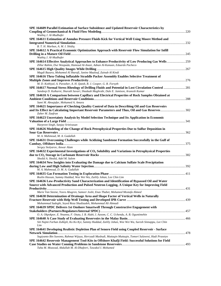| SPE 164609 Parallel Estimation of Surface Subsidence and Updated Reservoir Characteristics by                                                                                                |  |
|----------------------------------------------------------------------------------------------------------------------------------------------------------------------------------------------|--|
| Wathiq J. Al-Mudhafer                                                                                                                                                                        |  |
| SPE 164611 Estimation of Annulus Pressure Fluids Kick for Vertical Well Using Moore Method and                                                                                               |  |
|                                                                                                                                                                                              |  |
| B. T. H. Marbun, A. M. I. Shidiq                                                                                                                                                             |  |
| SPE 164612 A Practical Economic Optimization Approach with Reservoir Flow Simulation for Infill                                                                                              |  |
|                                                                                                                                                                                              |  |
| Wathiq J. Al-Mudhafer                                                                                                                                                                        |  |
| SPE 164614 Effective Analytical Approaches to Enhance Productivity of Low Producing Gas Wells259<br>Zillur Rahim, Dwi Waspada, Hamoud Al-Anazi, Adnan Al-Kanaan, Eduardo Pacheco             |  |
|                                                                                                                                                                                              |  |
| Magdi Bazara, Mohamed Al Sharafi, Janine Maalouf, Zainab Al Kindi                                                                                                                            |  |
| SPE 164616 Thru-Tubing Inflatable Straddle Packer Assembly Enables Selective Treatment of                                                                                                    |  |
|                                                                                                                                                                                              |  |
| M. D. Kothiyal, A. Parasher, A. H. Qutob, R. J. Cooper, G. R. Forsyth                                                                                                                        |  |
| SPE 164617 Normal Stress Rheology of Drilling Fluids and Potential in Lost Circulation Control  281<br>Sandeep D. Kulkarni, Sharath Savari, Shadaab Maghrabi, Dale E. Jamison, Arunesh Kumar |  |
| SPE 164618 A Comparison between Capillary and Electrical Properties of Rock Samples Obtained at                                                                                              |  |
|                                                                                                                                                                                              |  |
| Sami M. Aboujafar, Mohamed A. Amara                                                                                                                                                          |  |
| SPE 164621 Importance of Checking Quality Control of Data in Describing Oil and Gas Reservoirs                                                                                               |  |
| and Its Effect in Calculating Important Reservoir Parameters and Thus, Oil and Gas Reserves302                                                                                               |  |
| Zaher M. Zaafran                                                                                                                                                                             |  |
| SPE 164623 Uncertainty Analysis by Model Selection Technique and Its Application in Economic                                                                                                 |  |
|                                                                                                                                                                                              |  |
| Harpreet Singh, Sanjay Srinivasan                                                                                                                                                            |  |
| SPE 164626 Modeling of the Change of Rock Petrophysical Properties Due to Sulfur Deposition in                                                                                               |  |
|                                                                                                                                                                                              |  |
| M. A. Mahmoud, M. A. Gadallah                                                                                                                                                                |  |
| SPE 164631 Overcoming Challenges while Acidizing Sandstone Formation Successfully in the Gulf of                                                                                             |  |
|                                                                                                                                                                                              |  |
| Sergey Stolyarov, Anwar Alam                                                                                                                                                                 |  |
| SPE 164632 Experimental Investigations of CO <sub>2</sub> Solubility and Variations in Petrophysical Properties                                                                              |  |
|                                                                                                                                                                                              |  |
| Shedid A. Shedid, Adel M. Salem                                                                                                                                                              |  |
| SPE 164634 New Insights into Evaluating the Damage due to Calcium Sulfate Scale Precipitation                                                                                                |  |
|                                                                                                                                                                                              |  |
| M. A. Mahmoud, D. M. A. Gadallah                                                                                                                                                             |  |
|                                                                                                                                                                                              |  |
| Rozlin Hassan, Sammy Haddad, Wee Wei Wa, Zailily Johan, Lee Chin Lim                                                                                                                         |  |
| SPE 164636 Low-Productivity Sand Characterization and Identification of Bypassed Oil and Water                                                                                               |  |
| Source with Advanced Production and Pulsed Neutron Logging, A Unique Key for Improving Field                                                                                                 |  |
|                                                                                                                                                                                              |  |
| Marie Van Steene, Yosra Abugren, Sameer Joshi, Enas Thabet, Mohamed Mostafa Ahmed                                                                                                            |  |
| SPE 164638 Determination of Drainage Area and Shape Factor of Vertical Wells in Naturally                                                                                                    |  |
|                                                                                                                                                                                              |  |
| Mohammad Sadeghi, Seyed Reza Shadizadeh, Mohammad Ali Ahmadi                                                                                                                                 |  |
| SPE 164639 SPDC Delivers 1st Onshore Smartwell Through Constructive Engagement with                                                                                                          |  |
|                                                                                                                                                                                              |  |
| O. A. Okpokpor, E. Nnanna, F. Otutu, I. B. Alabi, I. Azoom, C. C. Uchendu, A. B. Oguntimehin                                                                                                 |  |
|                                                                                                                                                                                              |  |
| Siti Najmi Farhan Zulkipli, Ko Ko Kyi, Sammy Haddad, Zailily Johan, Wee Wei Wa, Suresh Sinnappu, Lee Chin<br>Lim                                                                             |  |
| SPE 164641 Developing Realistic Depletion Plan of Senoro Field using Coupled Reservoir - Surface                                                                                             |  |
|                                                                                                                                                                                              |  |
| Sugiyanto Bin Suwono, Rahmat Wijaya, Herryadi Masbudi, Muttaqin Muttaqin, Tomori Sulawesi, Hadi Prasetyo                                                                                     |  |
| SPE 164642 Reservoir Management Tool-Kits in Offshore Khafji Field: Successful Solutions for Field                                                                                           |  |
|                                                                                                                                                                                              |  |
| Taha M. Moawad, Abdullah M. Al-Dhafeeri, Tawakol I. Mohamed                                                                                                                                  |  |
|                                                                                                                                                                                              |  |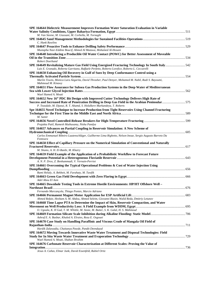| SPE 164644 Dielectric Measurement Improves Formation Water Saturation Evaluation in Variable                                                                                                       |  |
|----------------------------------------------------------------------------------------------------------------------------------------------------------------------------------------------------|--|
| M. Van Steene, M. Giussani, M. Corbella, M. Tornaghi                                                                                                                                               |  |
| C. Hank Rawlins                                                                                                                                                                                    |  |
| Mustapha Nasr-Eddine Boucif, Ahmed Al Mutawa, Mohamed Al-Hosani                                                                                                                                    |  |
| SPE 164648 Introducing a Producible Oil Water Contact (POWC) for Better Assessment of Moveable                                                                                                     |  |
| Robert Doerband                                                                                                                                                                                    |  |
| SPE 164649 Revitalizing Mature Gas Field Using Energized Fracturing Technology In South Italy542<br>Luis E. Granado, Roberta Garritano, Raffaele Perfetto, Roberto Lorefice, Roberto L. Ceccarelli |  |
| SPE 164650 Enhancing Oil Recovery in Gulf of Suez by Deep Conformance Control using a                                                                                                              |  |
|                                                                                                                                                                                                    |  |
| Martin Towns, Monica Lara Angarita, David Thrasher, Paul Denyer, Mohamed M. Nabil, Radi S. Bayoumi,<br>Mahmoud M. Kinawy                                                                           |  |
| SPE 164651 Flow Assurance for Subsea Gas Production Systems in the Deep Water of Mediterranean                                                                                                     |  |
| Wael Hamed A. Moati                                                                                                                                                                                |  |
| SPE 164652 New 16" PDC Bit Design with Improved Cutter Technology Delivers High Rate of                                                                                                            |  |
| Success and Increased Rate of Penetration Drilling in Deep Gas Field in the Arabian Peninsular575                                                                                                  |  |
| P. Teasdale, M. Djaoui, R. T. Ahamd, S. Holalkere Markandeya, T. Roberts                                                                                                                           |  |
| Spe 164655 Novel Technique to Increase Production from Tight Reservoirs Using Channel Fracturing                                                                                                   |  |
| M. Samir                                                                                                                                                                                           |  |
| Prajakta Patil, Ramesh Muthusamy, Nisha Pandya                                                                                                                                                     |  |
| SPE 164657 Advances on Partial Coupling in Reservoir Simulation: A New Scheme of                                                                                                                   |  |
|                                                                                                                                                                                                    |  |
| Carlos Emmanuel Ribeiro Lautenschläger, Guilherme Lima Righetto, Nelson Inoue, Sergio Augusto Barreto Da<br>Fontoura                                                                               |  |
| SPE 164658 Effect of Capillary Pressure on the Numerical Simulation of Conventional and Naturally                                                                                                  |  |
| M. Shams, A. H. El-Banbi, M. Khairy                                                                                                                                                                |  |
| SPE 164659 Field Example of the Application of a Probabilistic Workflow to Forecast Future                                                                                                         |  |
| A. N. P. Dros, Z. Benhammadi, V. Vernain-Perriot                                                                                                                                                   |  |
| SPE 164661 Overcoming the Typical Operational Problems & Cost of Water Injection Using                                                                                                             |  |
|                                                                                                                                                                                                    |  |
| Rami Helaly, A. Bekheit, M. Farahaty, M. Tawfik                                                                                                                                                    |  |
| Adel Abou El Azm                                                                                                                                                                                   |  |
| SPE 164665 Downhole Testing Tools in Extreme Hostile Environments: HP/HT Offshore Well -                                                                                                           |  |
|                                                                                                                                                                                                    |  |
| Fernando Marcançola, Thiago Pontes, Marcio Adriano                                                                                                                                                 |  |
|                                                                                                                                                                                                    |  |
| Ahmed Refaie, Hesham A. M. Abdou, Ahmed Seleim, Giovanni Biasin, Walid Reda, Dmitriy Letunov                                                                                                       |  |
| SPE 164668 Time Lapse PTA to Determine the Impact of Skin, Reservoir Compaction, and Water                                                                                                         |  |
|                                                                                                                                                                                                    |  |
| O. Ugoala, K. H Gad, T. M. Whittle, M. Stone, M. Butter, S. K. Galal, H. S. Mahmoud                                                                                                                |  |
| Ashraf E. A. Basbar, Khaled A. Elraies, Reza E. Osgouei                                                                                                                                            |  |
| SPE 164670 Case Study on Handling Paraffinic and Viscous Crude of Mangala Oil Field of                                                                                                             |  |
| Hardik Zalawadia, Chaitanya Pawde, Pandit Deendayal                                                                                                                                                |  |
| SPE 164672 Moving Towards Innovative Waste Water Treatment and Disposal Technologies: Field                                                                                                        |  |
|                                                                                                                                                                                                    |  |
| Wael Hamed A. Moati, Shaban Ibrahim                                                                                                                                                                |  |
| SPE 164676 Carbonate Reservoir Characterization at Different Scales: Proving the Value of                                                                                                          |  |
|                                                                                                                                                                                                    |  |
| Jesus A. Cañas, Elmar Junk, David Essenfeld, Rubiel Ortiz                                                                                                                                          |  |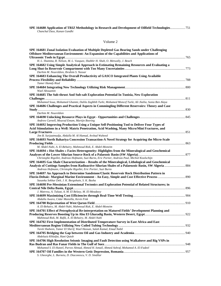**SPE 164680 Application of TRIZ Methodology in Research and Development of Oilfield Technologies**.................. 751 *Chanchal Dass, Kanan Gandhi* 

## Volume 2

| SPE 164681 Zonal Isolation Evaluation of Multiple Depleted Gas Bearing Sands under Challenging<br>Offshore Mediterranean Environment: An Expansion of the Capabilities and Applications of                 |  |
|------------------------------------------------------------------------------------------------------------------------------------------------------------------------------------------------------------|--|
| H. L. Shamma, R. Nelson, M. L. Vazquez, Shabbir H. Shah, O. Metwally, J. Beach                                                                                                                             |  |
| SPE 164682 Using Simple Analytical Approach in Estimating Remaining Resources and Evaluating a                                                                                                             |  |
|                                                                                                                                                                                                            |  |
| Darhim M. Noureldien, Ibrahim S. Nassar                                                                                                                                                                    |  |
| SPE 164683 Enhancing The Overall Productivity of GASCO Integrated Plants Using Available                                                                                                                   |  |
| Tamer Hamdy Riad                                                                                                                                                                                           |  |
| Wael Abouamin                                                                                                                                                                                              |  |
| SPE 164685 The Sub-thrust And Sub-salt Exploration Potential In Tunisia, New Exploration                                                                                                                   |  |
|                                                                                                                                                                                                            |  |
| Mohamed Soua, Mohamed Ghanmi, Dalila Zaghbib Turki, Mohamed Moncef Turki, Ali Jlailia, Sonia Ben Alaya                                                                                                     |  |
| SPE 164686 Challenges and Practical Aspects in Commingling Different Reservoirs: Theory and Case                                                                                                           |  |
|                                                                                                                                                                                                            |  |
| Darhim M. Noureldien                                                                                                                                                                                       |  |
|                                                                                                                                                                                                            |  |
| Andrew Carnell, Mourad Emam, Martijn Boering                                                                                                                                                               |  |
| SPE 164692 Improving Production Using a Unique Self-Positioning Tool to Deliver Four Types of                                                                                                              |  |
| Acid Stimulations in a Well: Matrix Penetration, Acid Washing, Many Micro/Mini Fractures, and                                                                                                              |  |
| Jim B. Surjaatmadja, Abdulla M. Al Hamad, Arshad Waheed                                                                                                                                                    |  |
| SPE 164693 North Bahariya Concession Transaction-A Novel Strategy for Acquiring the Micro-Scale                                                                                                            |  |
|                                                                                                                                                                                                            |  |
| M. Abdel-Nabi, A. El-Behairy, Mahmoud Rizk, E. Abdel-Moneim                                                                                                                                                |  |
| SPE 164694 « Hot Shales » Facies Heterogeneity: Highlights from the Mineralogical and Geochemical                                                                                                          |  |
|                                                                                                                                                                                                            |  |
| Christophe Rigollet, Andreas Hofmann, Suzi Burns, Eric Portier, Andreas Paul, Michiel Koolschijn                                                                                                           |  |
| SPE 164695 Gas Shale Characterization - Results of the Mineralogical, Lithological and Geochemical<br>Analysis of Cuttings Samples from Radioactive Silurian Shales of a Palaeozoic Basin, SW Algeria  884 |  |
| Andreas Hofmann, Christophe Rigollet, Eric Portier, Suzi Burns                                                                                                                                             |  |
| SPE 164697 An Approach to Determine Sandstone/Clastic Reservoir Rock Distribution Pattern in                                                                                                               |  |
| Sasanka Sekhar Deb, J. K. Borgohain, S. K. Basha                                                                                                                                                           |  |
| SPE 164698 Pre-Messinian Extensional Tectonics and Exploration Potential of Related Structures; in                                                                                                         |  |
|                                                                                                                                                                                                            |  |
| J. Matresu, A. Talaat, A. M. El Belasy, M. El-Meadawy                                                                                                                                                      |  |
|                                                                                                                                                                                                            |  |
| Abdalla Awara, Cidar Mansilla, Kevin Fink                                                                                                                                                                  |  |
|                                                                                                                                                                                                            |  |
| A. El-Behairy, M. Abdel-Nabi, Mahmoud Rizk, E. Abdel-Moneim                                                                                                                                                |  |
| SPE 164701 Effect of Petrophysical Re-interpretation on Matured Fields' Development Planning and                                                                                                           |  |
| Mahmoud Rizk, M. Rafik, A. El-Behairy, M. Abdel-Nabi                                                                                                                                                       |  |
| SPE 164702 First Implementation of Distributed Temperature Survey in East Africa and East                                                                                                                  |  |
| Tarek Shaheen, Tamer El Sherif, Wael Hassan, Salah Kamal, Emad Nabil                                                                                                                                       |  |
| Abdelaziz Khlaifat, Hani Qutob                                                                                                                                                                             |  |
| SPE 164706 High Resolution Seismic Imaging and Fault Detection using Walkabove and Rig VSPs in                                                                                                             |  |
|                                                                                                                                                                                                            |  |
| Mohamed S. El-Hateel, Parvez Ahmad, Ahmed H. Ismail, Ahmed Ashraf, Mohamed A. El-Fadeel                                                                                                                    |  |
| S. Gheorghe, L. Burneiu, D. Diaconescu, V. D. Sindilar                                                                                                                                                     |  |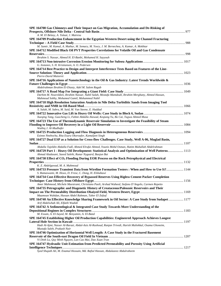| SPE 164708 Gas Chimneys and Their Impact on Gas Migration, Accumulation and De-Risking of                                                    |  |
|----------------------------------------------------------------------------------------------------------------------------------------------|--|
| A. M. El Belasy, A. Talaat, J. Matresu                                                                                                       |  |
| SPE 164709 Production Enhancement in the Egyptian Western Desert using the Channel Fracturing                                                |  |
|                                                                                                                                              |  |
| M. Samir, M. Kamal, A. Mathur, M. Semary, M. Yosry, J. M. Bernechea, A. Kamar, A. Mokhtar                                                    |  |
| SPE 164712 Modified Black Oil PVT Properties Correlations for Volatile Oil and Gas Condensate                                                |  |
|                                                                                                                                              |  |
| Ibrahim S. Nassar, Ahmed H. El-Banbi, Mohamed H. Sayyouh                                                                                     |  |
| G. Instanes, S. H. Kristiansen, A. O. Pedersen                                                                                               |  |
| SPE 164714 Best Practice to Design and Interpret Interference Tests Based on Features of the Line-                                           |  |
|                                                                                                                                              |  |
| Pierre-David Maizeret                                                                                                                        |  |
| SPE 164716 Applications of Nanotechnology in the Oil & Gas Industry: Latest Trends Worldwide &                                               |  |
|                                                                                                                                              |  |
| Abdelrahman Ibrahim El-Diasty, Adel M. Salem Ragab                                                                                           |  |
| Darhim M. Noureldien, Ibrahim Nassar, Nabil Salah, Mostafa Mamdouh, Ibrahim Merghany, Ahmed Hassan,                                          |  |
| Mahmoud Sobhy, Mohamed Gamil, Mohammed Nabil                                                                                                 |  |
| SPE 164718 High Resolution Saturation Analysis in Nile Delta Turbiditic Sands from Imaging Tool                                              |  |
|                                                                                                                                              |  |
| A. Salah, M. Sabra, M. Said, M. Van Steene, E. Haddad                                                                                        |  |
|                                                                                                                                              |  |
| Xueqing Tang, Guocheng Li, Fahmi Abdalla Alawad, Keqiang Yu, Bo Cai, Tagwa Ahmed Musa                                                        |  |
| SPE 164723 The Use of Thermodynamic Reservoir Simulation to Investigate the Feasibility of Steam                                             |  |
| Wathiq J. Al-Mudhafer                                                                                                                        |  |
|                                                                                                                                              |  |
| Ezinne Nnebocha, Rita Esuru Okoroafor, Kamaljeet Singh                                                                                       |  |
| SPE 164727 Dual ESP as a Solution for Cross-flow Challenges. Case Study, Well A-06, Muglad Basin,                                            |  |
|                                                                                                                                              |  |
| Abdalla Tajeldin Abdalla Fadl, Ahmed Elrufai Ahmed, Younis Mohd Osman, Hatim Muhallab Abdelrahman                                            |  |
| SPE 164729 Part 1 - Heavy Oil Development: Statistical Analysis and Optimization of Well Patterns 1113                                       |  |
| Ahmad Aladasani, Saeed Salehi, Runar Nygaard, Baojun Bai                                                                                     |  |
| SPE 164730 Effect of CO <sub>2</sub> Flooding During EOR Process on the Rock Petrophysical and Electrical                                    |  |
|                                                                                                                                              |  |
| K. Z. Abdelgawad, M. A. Mahmoud                                                                                                              |  |
| S. Ramaswami, M. Hows, D. Frese, C. Dong, H. Elshahawi                                                                                       |  |
| SPE 164734 Cost-Effective Recovery of Bypassed Reserves Using Rigless Cement Packer Completion                                               |  |
|                                                                                                                                              |  |
| Amer Mahmood, Michele Maestrami, Christiano Paoli, Arshad Waheed, Stefano D'Angelo, Carmen Repetto                                           |  |
| SPE 164735 Petrographic and Diagenetic History of Creataceous/Paleozoic Reservoirs and Their                                                 |  |
|                                                                                                                                              |  |
| Maamoun Wahdan, Hassan Abdel Rahman, Taher El Zefzaf                                                                                         |  |
| 177 SPE 164740 An Effective Knowledge Sharing Framework in Oil Sector: A Case Study from Sudapet  1177<br>Arif Abdelwhab Ali, Elfatih Wadidi |  |
| SPE 164742 A Sedimentlogical & Integrated Case Study Towards More Understanding of the                                                       |  |
|                                                                                                                                              |  |
| M. Essam, A. El-Sayed, M. Benyamin, A. El-Batal                                                                                              |  |
| SPE 164745 Establishing Higher Oil Production Capabilities: Engineered Approach Achieves Longest                                             |  |
|                                                                                                                                              |  |
| Hadi Al-Ajmi, Nasser Al-Barazi, Abdul-Aziz Al-Rushoud, Ranjan Trivedi, Harish Maliekkal, Osama Ghoneim,                                      |  |
| Mustafa Saleh, Prakash Nair                                                                                                                  |  |
| SPE 164746 Optimization of Horizontal Well Length: A Case Study in the Fractured Basement                                                    |  |
| Vi Dinh Lu, Quy Minh Nguyen, Lan Cao Mai, Dao Xuan Tran                                                                                      |  |
| SPE 164747 Hydraulic Unit Estimation from Predicted Permeability and Porosity Using Artificial                                               |  |
|                                                                                                                                              |  |
| Syed Shujath Ali, M. Enamul Hossain, Md. Rafiul Hassan, Abdulazeez Abdulraheem                                                               |  |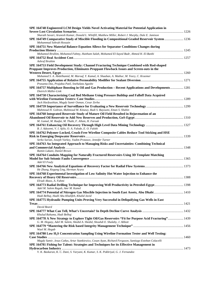| SPE 164748 Engineered LCM Design Yields Novel Activating Material for Potential Application in                                                                                            |  |
|-------------------------------------------------------------------------------------------------------------------------------------------------------------------------------------------|--|
|                                                                                                                                                                                           |  |
| Sharath Savari, Arunesh Kumar, Donald L. Whitfill, Matthew Miller, Robert J. Murphy, Dale E. Jamison                                                                                      |  |
| Mohammad Sohrab Hossain                                                                                                                                                                   |  |
| SPE 164751 New Material Balance Equation Allows for Separator Conditions Changes during                                                                                                   |  |
|                                                                                                                                                                                           |  |
| Mohamed Ibrahim, Mohamed Fahmy, Haitham Salah, Mohamed El-Sayed Badr, Ahmed H. El-Banbi                                                                                                   |  |
|                                                                                                                                                                                           |  |
| Ashraf Ibrahim<br>SPE 164753 Field Development Study: Channel Fracturing Technique Combined with Rod-shaped                                                                               |  |
| Proppant Improves Production, Eliminates Proppant Flowback Issues and Screen-outs in the                                                                                                  |  |
|                                                                                                                                                                                           |  |
| Mohamed S. A. Abdelhamid, M. Marouf, Y. Kamal, A. Shaaban, A. Mathur, M. Yosry, C. Kraemer                                                                                                |  |
|                                                                                                                                                                                           |  |
| Prasanta Das, Prajakta Patil, Snehalata Agashe                                                                                                                                            |  |
| SPE 164757 Multiphase Boosting in Oil and Gas Production - Recent Applications and Developments 1281<br>Dietrich Müller-Link                                                              |  |
| SPE 164758 Characterizing Coal Bed Methane Using Pressure Buildup and Falloff Data Acquired                                                                                               |  |
|                                                                                                                                                                                           |  |
| Jack Harfoushian, Magdy Samir Osman, Cesar Zerba                                                                                                                                          |  |
|                                                                                                                                                                                           |  |
| Mahmoud H. Gobran, Mahmoud M. Kinawy, Radi S. Bayoumi, Eman S. Shahin                                                                                                                     |  |
| SPE 164760 Integrated Reservoir Study of Mature Oil Field Resulted in Rejuvenation of an                                                                                                  |  |
| M. Gamal, M. Raafat, M. Thabt, F. Allam, H. Farouk                                                                                                                                        |  |
|                                                                                                                                                                                           |  |
| B. J. Adeyemi, V. I. Ajilo, O. A. Falode, E. O. Falobi                                                                                                                                    |  |
| SPE 164762 Polymer-Locked, Crush-Free Wireline Composite Cables Reduce Tool Sticking and HSE                                                                                              |  |
|                                                                                                                                                                                           |  |
| Serko Sarian, Joseph Varkey, Vadim Protasov, Jennifer Turner<br>SPE 164763 An Integrated Approach to Managing Risks and Uncertainties: Combining Technical                                |  |
|                                                                                                                                                                                           |  |
| Ramin Lakani, Daniel Brown                                                                                                                                                                |  |
| SPE 164764 Conduits Mapping for Naturally Fractured Reservoirs Using 3D Template Matching                                                                                                 |  |
|                                                                                                                                                                                           |  |
| Adel El Fouly                                                                                                                                                                             |  |
| He Zhang, Kegang Ling, Herman Acura                                                                                                                                                       |  |
| SPE 164768 Experimental Investigation of Low Salinity Hot Water Injection to Enhance the                                                                                                  |  |
|                                                                                                                                                                                           |  |
| Elradi Abass, A. Fahmi                                                                                                                                                                    |  |
|                                                                                                                                                                                           |  |
| Adel M. Salem Ragab, Amr M. Kamel                                                                                                                                                         |  |
| SPE 164774 Potential of Nitrogen Gas Miscible Injection in South East Assets, Abu Dhabi 1410<br>Hadi Belhaj, Hadil Abu Khalifeh, Khalid Javid                                             |  |
| SPE 164775 Hydraulic Pumping Units Proving Very Successful in Deliquifying Gas Wells in East                                                                                              |  |
|                                                                                                                                                                                           |  |
| David Beard                                                                                                                                                                               |  |
|                                                                                                                                                                                           |  |
| Khulud Rahuma, Hadi Belhaj                                                                                                                                                                |  |
| 1439 SPE 164778 A New Strategy to Explore Tight Oil/Gas Reservoirs "Fit for Purpose Acid Fracturing" 1439<br>G. M. Hegazy, Adel M. Salem, Shedid A. Shedid, Shouhdi E. Shalaby, J. Abbott |  |
|                                                                                                                                                                                           |  |
| Wael M. Hegab                                                                                                                                                                             |  |
| SPE 164780 Low H <sub>2</sub> S Concentration Sampling Using Wireline Formation Tester and Well Testing:                                                                                  |  |
|                                                                                                                                                                                           |  |
| Magdy Samir, Jesus Cañas, Artur Stankiewicz, Cosan Ayan, Richard Ferguson, Santiago Esteban Colacelli                                                                                     |  |
| SPE 164781 Fishing for Talent: Strategies and Techniques for its Effective Management in                                                                                                  |  |
|                                                                                                                                                                                           |  |

*V. K. Baskaran, K. C. Dani, S. Varyani, K. Kumar, S. K. Pokhriyal, G. J. Fernandez*